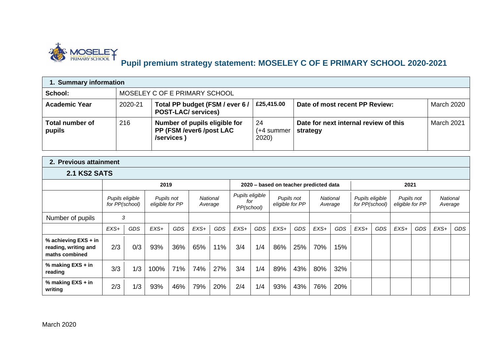

## **Pupil premium strategy statement: MOSELEY C OF E PRIMARY SCHOOL 2020-2021**

| 1. Summary information                   |         |                                                                         |                           |                                                   |                   |  |  |  |  |  |  |
|------------------------------------------|---------|-------------------------------------------------------------------------|---------------------------|---------------------------------------------------|-------------------|--|--|--|--|--|--|
| School:<br>MOSELEY C OF E PRIMARY SCHOOL |         |                                                                         |                           |                                                   |                   |  |  |  |  |  |  |
| <b>Academic Year</b>                     | 2020-21 | Total PP budget (FSM / ever 6 /<br><b>POST-LAC/ services)</b>           | £25,415.00                | Date of most recent PP Review:                    | <b>March 2020</b> |  |  |  |  |  |  |
| Total number of<br>pupils                | 216     | Number of pupils eligible for<br>PP (FSM /ever6 /post LAC<br>/services) | 24<br>(+4 summer<br>2020) | Date for next internal review of this<br>strategy | March 2021        |  |  |  |  |  |  |

## **2. Previous attainment**

## **2.1 KS2 SATS**

|                                                                |                |                 | 2019                          |            |        |                     |                                      |            | 2020 - based on teacher predicted data |            |        |                     |                                   |            | 2021                          |            |                     |            |
|----------------------------------------------------------------|----------------|-----------------|-------------------------------|------------|--------|---------------------|--------------------------------------|------------|----------------------------------------|------------|--------|---------------------|-----------------------------------|------------|-------------------------------|------------|---------------------|------------|
|                                                                | for PP(school) | Pupils eligible | Pupils not<br>eligible for PP |            |        | National<br>Average | Pupils eligible<br>for<br>PP(school) |            | eligible for PP                        | Pupils not |        | National<br>Average | Pupils eligible<br>for PP(school) |            | Pupils not<br>eligible for PP |            | National<br>Average |            |
| Number of pupils                                               |                | 3               |                               |            |        |                     |                                      |            |                                        |            |        |                     |                                   |            |                               |            |                     |            |
|                                                                | $EXS+$         | <b>GDS</b>      | $EXS+$                        | <b>GDS</b> | $EXS+$ | <b>GDS</b>          | $EXS+$                               | <b>GDS</b> | $EXS+$                                 | <b>GDS</b> | $EXS+$ | <b>GDS</b>          | $EXS+$                            | <b>GDS</b> | $EXS+$                        | <b>GDS</b> | $EXS+$              | <b>GDS</b> |
| % achieving EXS + in<br>reading, writing and<br>maths combined | 2/3            | 0/3             | 93%                           | 36%        | 65%    | 11%                 | 3/4                                  | 1/4        | 86%                                    | 25%        | 70%    | 15%                 |                                   |            |                               |            |                     |            |
| % making EXS + in<br>reading                                   | 3/3            | 1/3             | 100%                          | 71%        | 74%    | 27%                 | 3/4                                  | 1/4        | 89%                                    | 43%        | 80%    | 32%                 |                                   |            |                               |            |                     |            |
| % making EXS + in<br>writing                                   | 2/3            | 1/3             | 93%                           | 46%        | 79%    | 20%                 | 2/4                                  | 1/4        | 93%                                    | 43%        | 76%    | 20%                 |                                   |            |                               |            |                     |            |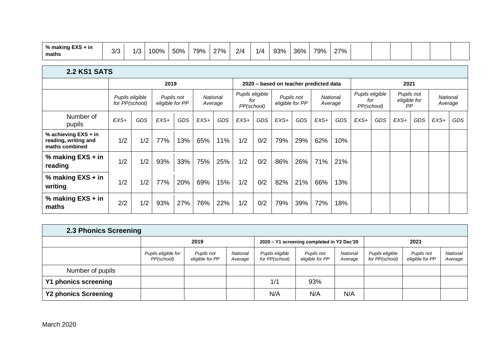| $\mathbf{r}$<br>$\mathbf{0}$<br>. .<br>% making<br>⊦ in<br>EAS.<br>maths | רו ר<br>ぃ | $\sqrt{2}$<br>ں <i>ا</i> | $\Omega$<br>,,,,<br>$\overline{\phantom{a}}$ | 50% | 79% | <u> 27% - </u><br>_ | 2/4<br>- | 1/4 | 93% | 36% | 79% | 27%<br><u>_</u> |  |  |  |  |  |  |
|--------------------------------------------------------------------------|-----------|--------------------------|----------------------------------------------|-----|-----|---------------------|----------|-----|-----|-----|-----|-----------------|--|--|--|--|--|--|
|--------------------------------------------------------------------------|-----------|--------------------------|----------------------------------------------|-----|-----|---------------------|----------|-----|-----|-----|-----|-----------------|--|--|--|--|--|--|

| 2.2 KS1 SATS                                                   |                                   |            |                               |            |         |          |                                      |            |        |                               |                                        |     |                   |                 |                                  |            |                     |     |
|----------------------------------------------------------------|-----------------------------------|------------|-------------------------------|------------|---------|----------|--------------------------------------|------------|--------|-------------------------------|----------------------------------------|-----|-------------------|-----------------|----------------------------------|------------|---------------------|-----|
|                                                                |                                   |            | 2019                          |            |         |          |                                      |            |        |                               | 2020 – based on teacher predicted data |     |                   |                 | 2021                             |            |                     |     |
|                                                                | Pupils eligible<br>for PP(school) |            | Pupils not<br>eligible for PP |            | Average | National | Pupils eligible<br>for<br>PP(school) |            |        | Pupils not<br>eligible for PP | <b>National</b><br>Average             |     | for<br>PP(school) | Pupils eligible | Pupils not<br>eligible for<br>PP |            | National<br>Average |     |
| Number of<br>pupils                                            | $EXS+$                            | <b>GDS</b> | $EXS+$                        | <b>GDS</b> | $EXS+$  | GDS      | $EXS+$                               | <b>GDS</b> | $EXS+$ | <b>GDS</b>                    | $EXS+$                                 | GDS | $EXS+$            | <b>GDS</b>      | $EXS+$                           | <b>GDS</b> | $EXS+$              | GDS |
| % achieving EXS + in<br>reading, writing and<br>maths combined | 1/2                               | 1/2        | 77%                           | 13%        | 65%     | 11%      | 1/2                                  | 0/2        | 79%    | 29%                           | 62%                                    | 10% |                   |                 |                                  |            |                     |     |
| % making EXS + in<br>reading                                   | 1/2                               | 1/2        | 93%                           | 33%        | 75%     | 25%      | 1/2                                  | 0/2        | 86%    | 26%                           | 71%                                    | 21% |                   |                 |                                  |            |                     |     |
| % making EXS + in<br>writing                                   | 1/2                               | 1/2        | 77%                           | 20%        | 69%     | 15%      | 1/2                                  | 0/2        | 82%    | 21%                           | 66%                                    | 13% |                   |                 |                                  |            |                     |     |
| % making EXS + in<br>maths                                     | 2/2                               | 1/2        | 93%                           | 27%        | 76%     | 22%      | 1/2                                  | 0/2        | 79%    | 39%                           | 72%                                    | 18% |                   |                 |                                  |            |                     |     |

| 2.3 Phonics Screening       |                                   |                               |                            |                                   |                                            |                            |                                   |                               |                     |
|-----------------------------|-----------------------------------|-------------------------------|----------------------------|-----------------------------------|--------------------------------------------|----------------------------|-----------------------------------|-------------------------------|---------------------|
|                             |                                   | 2019                          |                            |                                   | 2020 - Y1 screening completed in Y2 Dec'20 |                            |                                   | 2021                          |                     |
|                             | Pupils eligible for<br>PP(school) | Pupils not<br>eligible for PP | <b>National</b><br>Average | Pupils eligible<br>for PP(school) | Pupils not<br>eligible for PP              | <b>National</b><br>Average | Pupils eligible<br>for PP(school) | Pupils not<br>eligible for PP | National<br>Average |
| Number of pupils            |                                   |                               |                            |                                   |                                            |                            |                                   |                               |                     |
| Y1 phonics screening        |                                   |                               |                            | 1/1                               | 93%                                        |                            |                                   |                               |                     |
| <b>Y2 phonics Screening</b> |                                   |                               |                            | N/A                               | N/A                                        | N/A                        |                                   |                               |                     |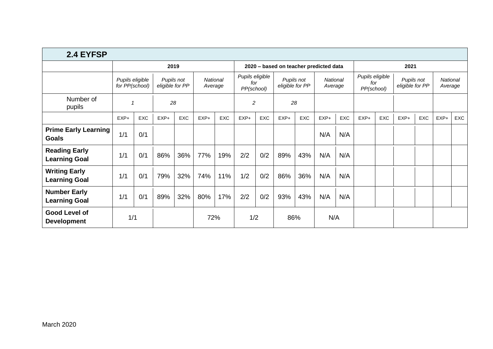| 2.4 EYFSP                                    |                                                                    |            |        |            |                     |            |                                      |            |                               |            |                                        |                                      |        |                               |        |                            |        |     |
|----------------------------------------------|--------------------------------------------------------------------|------------|--------|------------|---------------------|------------|--------------------------------------|------------|-------------------------------|------------|----------------------------------------|--------------------------------------|--------|-------------------------------|--------|----------------------------|--------|-----|
|                                              |                                                                    |            | 2019   |            |                     |            |                                      |            |                               |            | 2020 - based on teacher predicted data |                                      |        |                               | 2021   |                            |        |     |
|                                              | Pupils eligible<br>Pupils not<br>for PP(school)<br>eligible for PP |            |        |            | National<br>Average |            | Pupils eligible<br>for<br>PP(school) |            | Pupils not<br>eligible for PP |            | National<br>Average                    | Pupils eligible<br>for<br>PP(school) |        | Pupils not<br>eligible for PP |        | <b>National</b><br>Average |        |     |
| Number of<br>pupils                          |                                                                    |            | 28     |            |                     |            | $\overline{c}$                       |            |                               | 28         |                                        |                                      |        |                               |        |                            |        |     |
|                                              | $EXP+$                                                             | <b>EXC</b> | $EXP+$ | <b>EXC</b> | $EXP+$              | <b>EXC</b> | $EXP+$                               | <b>EXC</b> | $EXP+$                        | <b>EXC</b> | $EXP+$                                 | <b>EXC</b>                           | $EXP+$ | <b>EXC</b>                    | $EXP+$ | EXC                        | $EXP+$ | EXC |
| <b>Prime Early Learning</b><br><b>Goals</b>  | 1/1                                                                | 0/1        |        |            |                     |            |                                      |            |                               |            | N/A                                    | N/A                                  |        |                               |        |                            |        |     |
| <b>Reading Early</b><br><b>Learning Goal</b> | 1/1                                                                | 0/1        | 86%    | 36%        | 77%                 | 19%        | 2/2                                  | 0/2        | 89%                           | 43%        | N/A                                    | N/A                                  |        |                               |        |                            |        |     |
| <b>Writing Early</b><br><b>Learning Goal</b> | 1/1                                                                | 0/1        | 79%    | 32%        | 74%                 | 11%        | 1/2                                  | 0/2        | 86%                           | 36%        | N/A                                    | N/A                                  |        |                               |        |                            |        |     |
| <b>Number Early</b><br><b>Learning Goal</b>  | 1/1                                                                | 0/1        | 89%    | 32%        | 80%                 | 17%        | 2/2                                  | 0/2        | 93%                           | 43%        | N/A                                    | N/A                                  |        |                               |        |                            |        |     |
| Good Level of<br><b>Development</b>          | 1/1                                                                |            |        |            | 72%                 |            | 1/2                                  |            | 86%                           |            | N/A                                    |                                      |        |                               |        |                            |        |     |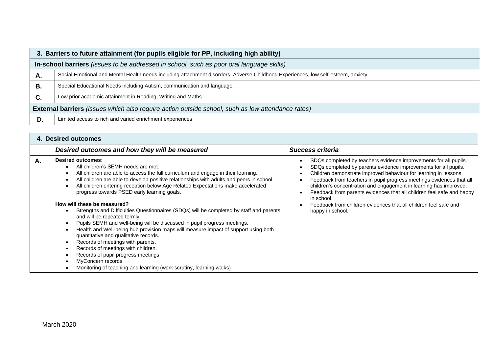|    | 3. Barriers to future attainment (for pupils eligible for PP, including high ability)                                            |  |  |  |  |  |  |  |  |
|----|----------------------------------------------------------------------------------------------------------------------------------|--|--|--|--|--|--|--|--|
|    | In-school barriers (issues to be addressed in school, such as poor oral language skills)                                         |  |  |  |  |  |  |  |  |
| А. | Social Emotional and Mental Health needs including attachment disorders, Adverse Childhood Experiences, low self-esteem, anxiety |  |  |  |  |  |  |  |  |
| В. | Special Educational Needs including Autism, communication and language,                                                          |  |  |  |  |  |  |  |  |
| C. | Low prior academic attainment in Reading, Writing and Maths                                                                      |  |  |  |  |  |  |  |  |
|    | <b>External barriers</b> (issues which also require action outside school, such as low attendance rates)                         |  |  |  |  |  |  |  |  |
| D. | Limited access to rich and varied enrichment experiences                                                                         |  |  |  |  |  |  |  |  |

|    | <b>4. Desired outcomes</b>                                                                                                                                                                                                                                                                                                                                                                                                                                                                                                                                                                                                                                                                                                                                                                                                                                                                                                                                           |                                                                                                                                                                                                                                                                                                                                                                                                                                                                                                                                     |
|----|----------------------------------------------------------------------------------------------------------------------------------------------------------------------------------------------------------------------------------------------------------------------------------------------------------------------------------------------------------------------------------------------------------------------------------------------------------------------------------------------------------------------------------------------------------------------------------------------------------------------------------------------------------------------------------------------------------------------------------------------------------------------------------------------------------------------------------------------------------------------------------------------------------------------------------------------------------------------|-------------------------------------------------------------------------------------------------------------------------------------------------------------------------------------------------------------------------------------------------------------------------------------------------------------------------------------------------------------------------------------------------------------------------------------------------------------------------------------------------------------------------------------|
|    | Desired outcomes and how they will be measured                                                                                                                                                                                                                                                                                                                                                                                                                                                                                                                                                                                                                                                                                                                                                                                                                                                                                                                       | <b>Success criteria</b>                                                                                                                                                                                                                                                                                                                                                                                                                                                                                                             |
| Α. | <b>Desired outcomes:</b><br>All children's SEMH needs are met.<br>All children are able to access the full curriculum and engage in their learning.<br>All children are able to develop positive relationships with adults and peers in school.<br>All children entering reception below Age Related Expectations make accelerated<br>progress towards PSED early learning goals.<br>How will these be measured?<br>Strengths and Difficulties Questionnaires (SDQs) will be completed by staff and parents<br>and will be repeated termly.<br>Pupils SEMH and well-being will be discussed in pupil progress meetings.<br>Health and Well-being hub provision maps will measure impact of support using both<br>quantitative and qualitative records.<br>Records of meetings with parents.<br>Records of meetings with children.<br>Records of pupil progress meetings.<br>MyConcern records<br>Monitoring of teaching and learning (work scrutiny, learning walks) | SDQs completed by teachers evidence improvements for all pupils.<br>SDQs completed by parents evidence improvements for all pupils.<br>Children demonstrate improved behaviour for learning in lessons.<br>Feedback from teachers in pupil progress meetings evidences that all<br>children's concentration and engagement in learning has improved.<br>Feedback from parents evidences that all children feel safe and happy<br>in school.<br>Feedback from children evidences that all children feel safe and<br>happy in school. |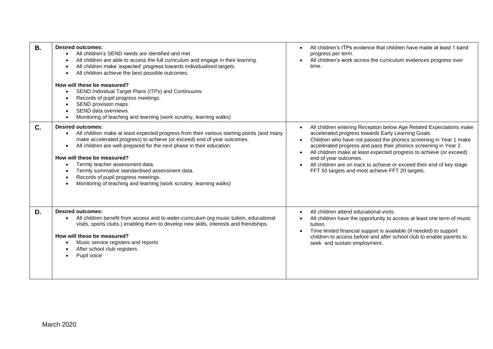| В. | <b>Desired outcomes:</b><br>All children's SEND needs are identified and met.<br>All children are able to access the full curriculum and engage in their learning.<br>All children make 'expected' progress towards individualised targets.<br>All children achieve the best possible outcomes.<br>How will these be measured?<br>SEND Individual Target Plans (ITPs) and Continuums<br>$\bullet$<br>Records of pupil progress meetings.<br>$\bullet$<br>SEND provision maps.<br>SEND data overviews.<br>Monitoring of teaching and learning (work scrutiny, learning walks) | All children's ITPs evidence that children have made at least 1 band<br>progress per term.<br>All children's work across the curriculum evidences progress over<br>time.                                                                                                                                                                                                                                                                                                                                                 |
|----|------------------------------------------------------------------------------------------------------------------------------------------------------------------------------------------------------------------------------------------------------------------------------------------------------------------------------------------------------------------------------------------------------------------------------------------------------------------------------------------------------------------------------------------------------------------------------|--------------------------------------------------------------------------------------------------------------------------------------------------------------------------------------------------------------------------------------------------------------------------------------------------------------------------------------------------------------------------------------------------------------------------------------------------------------------------------------------------------------------------|
| C. | <b>Desired outcomes:</b><br>All children make at least expected progress from their various starting points (and many<br>$\bullet$<br>make accelerated progress) to achieve (or exceed) end of year outcomes.<br>All children are well-prepared for the next phase in their education.<br>$\bullet$<br>How will these be measured?<br>Termly teacher assessment data.<br>Termly summative standardised assessment data.<br>Records of pupil progress meetings.<br>Monitoring of teaching and learning (work scrutiny, learning walks)                                        | All children entering Reception below Age Related Expectations make<br>accelerated progress towards Early Learning Goals.<br>Children who have not passed the phonics screening in Year 1 make<br>$\bullet$<br>accelerated progress and pass their phonics screening in Year 2.<br>All children make at least expected progress to achieve (or exceed)<br>$\bullet$<br>end of year outcomes.<br>All children are on track to achieve or exceed their end of key stage<br>FFT 50 targets and most achieve FFT 20 targets. |
| D. | <b>Desired outcomes:</b><br>All children benefit from access and to wider-curriculum (eg music tuition, educational<br>$\bullet$<br>visits, sports clubs.) enabling them to develop new skills, interests and friendships.<br>How will these be measured?<br>Music service registers and reports<br>After school club registers.<br>Pupil voice                                                                                                                                                                                                                              | All children attend educational visits.<br>All children have the opportunity to access at least one term of music<br>tuition.<br>Time limited financial support is available (if needed) to support<br>$\bullet$<br>children to access before and after school club to enable parents to<br>seek and sustain employment.                                                                                                                                                                                                 |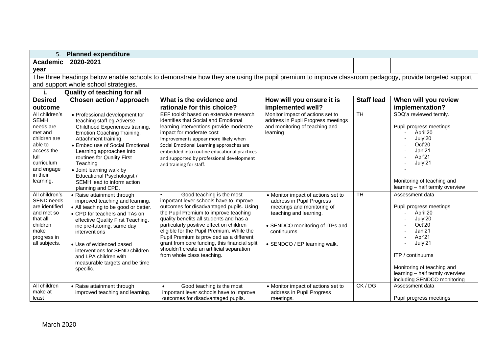| 5.                                                                                                                                                          | <b>Planned expenditure</b>                                                                                                                                                                                                                                                                                                                                                        |                                                                                                                                                                                                                                                                                                                                                                                                                                                                       |                                                                                                                                                                                                          |                   |                                                                                                                                                                                                                                |  |  |  |  |  |  |  |  |  |
|-------------------------------------------------------------------------------------------------------------------------------------------------------------|-----------------------------------------------------------------------------------------------------------------------------------------------------------------------------------------------------------------------------------------------------------------------------------------------------------------------------------------------------------------------------------|-----------------------------------------------------------------------------------------------------------------------------------------------------------------------------------------------------------------------------------------------------------------------------------------------------------------------------------------------------------------------------------------------------------------------------------------------------------------------|----------------------------------------------------------------------------------------------------------------------------------------------------------------------------------------------------------|-------------------|--------------------------------------------------------------------------------------------------------------------------------------------------------------------------------------------------------------------------------|--|--|--|--|--|--|--|--|--|
| <b>Academic</b>                                                                                                                                             | 2020-2021                                                                                                                                                                                                                                                                                                                                                                         |                                                                                                                                                                                                                                                                                                                                                                                                                                                                       |                                                                                                                                                                                                          |                   |                                                                                                                                                                                                                                |  |  |  |  |  |  |  |  |  |
| year                                                                                                                                                        |                                                                                                                                                                                                                                                                                                                                                                                   |                                                                                                                                                                                                                                                                                                                                                                                                                                                                       |                                                                                                                                                                                                          |                   |                                                                                                                                                                                                                                |  |  |  |  |  |  |  |  |  |
|                                                                                                                                                             | The three headings below enable schools to demonstrate how they are using the pupil premium to improve classroom pedagogy, provide targeted support                                                                                                                                                                                                                               |                                                                                                                                                                                                                                                                                                                                                                                                                                                                       |                                                                                                                                                                                                          |                   |                                                                                                                                                                                                                                |  |  |  |  |  |  |  |  |  |
|                                                                                                                                                             | and support whole school strategies.                                                                                                                                                                                                                                                                                                                                              |                                                                                                                                                                                                                                                                                                                                                                                                                                                                       |                                                                                                                                                                                                          |                   |                                                                                                                                                                                                                                |  |  |  |  |  |  |  |  |  |
| j.                                                                                                                                                          | <b>Quality of teaching for all</b>                                                                                                                                                                                                                                                                                                                                                |                                                                                                                                                                                                                                                                                                                                                                                                                                                                       |                                                                                                                                                                                                          |                   |                                                                                                                                                                                                                                |  |  |  |  |  |  |  |  |  |
| <b>Desired</b>                                                                                                                                              | Chosen action / approach                                                                                                                                                                                                                                                                                                                                                          | What is the evidence and                                                                                                                                                                                                                                                                                                                                                                                                                                              | How will you ensure it is                                                                                                                                                                                | <b>Staff lead</b> | When will you review                                                                                                                                                                                                           |  |  |  |  |  |  |  |  |  |
| outcome                                                                                                                                                     |                                                                                                                                                                                                                                                                                                                                                                                   | rationale for this choice?                                                                                                                                                                                                                                                                                                                                                                                                                                            | implemented well?                                                                                                                                                                                        |                   | implementation?                                                                                                                                                                                                                |  |  |  |  |  |  |  |  |  |
| All children's<br><b>SEMH</b><br>needs are<br>met and<br>children are<br>able to<br>access the<br>full<br>curriculum<br>and engage<br>in their<br>learning. | • Professional development tor<br>teaching staff eg Adverse<br>Childhood Experiences training,<br><b>Emotion Coaching Training,</b><br>Attachment training.<br>• Embed use of Social Emotional<br>Learning approaches into<br>routines for Quality First<br>Teaching<br>• Joint learning walk by<br>Educational Psychologist /<br>SEMH lead to inform action<br>planning and CPD. | EEF toolkit based on extensive research<br>identifies that Social and Emotional<br>learning interventions provide moderate<br>impact for moderate cost:<br>Improvements appear more likely when<br>Social Emotional Learning approaches are<br>embedded into routine educational practices<br>and supported by professional development<br>and training for staff.                                                                                                    | Monitor impact of actions set to<br>address in Pupil Progress meetings<br>and monitoring of teaching and<br>learning                                                                                     | $\overline{T}H$   | SDQ'a reviewed termly.<br>Pupil progress meetings<br>April'20<br>July'20<br>Oct'20<br>Jan'21<br>Apr'21<br>July'21<br>Monitoring of teaching and<br>learning - half termly overview                                             |  |  |  |  |  |  |  |  |  |
| All children's<br>SEND needs<br>are identified<br>and met so<br>that all<br>children<br>make<br>progress in<br>all subjects.                                | • Raise attainment through<br>improved teaching and learning.<br>• All teaching to be good or better.<br>• CPD for teachers and TAs on<br>effective Quality First Teaching.<br>inc pre-tutoring, same day<br>interventions<br>• Use of evidenced based<br>interventions for SEND children<br>and LPA children with<br>measurable targets and be time<br>specific.                 | Good teaching is the most<br>important lever schools have to improve<br>outcomes for disadvantaged pupils. Using<br>the Pupil Premium to improve teaching<br>quality benefits all students and has a<br>particularly positive effect on children<br>eligible for the Pupil Premium. While the<br>Pupil Premium is provided as a different<br>grant from core funding, this financial split<br>shouldn't create an artificial separation<br>from whole class teaching. | • Monitor impact of actions set to<br>address in Pupil Progress<br>meetings and monitoring of<br>teaching and learning.<br>• SENDCO monitoring of ITPs and<br>continuums<br>• SENDCO / EP learning walk. | <b>TH</b>         | Assessment data<br>Pupil progress meetings<br>April'20<br>July'20<br>Oct'20<br>Jan'21<br>Apr'21<br>July'21<br>ITP / continuums<br>Monitoring of teaching and<br>learning - half termly overview<br>including SENDCO monitoring |  |  |  |  |  |  |  |  |  |
| All children<br>make at<br>least                                                                                                                            | • Raise attainment through<br>improved teaching and learning.                                                                                                                                                                                                                                                                                                                     | Good teaching is the most<br>$\bullet$<br>important lever schools have to improve<br>outcomes for disadvantaged pupils.                                                                                                                                                                                                                                                                                                                                               | • Monitor impact of actions set to<br>address in Pupil Progress<br>meetings.                                                                                                                             | CK/DG             | Assessment data<br>Pupil progress meetings                                                                                                                                                                                     |  |  |  |  |  |  |  |  |  |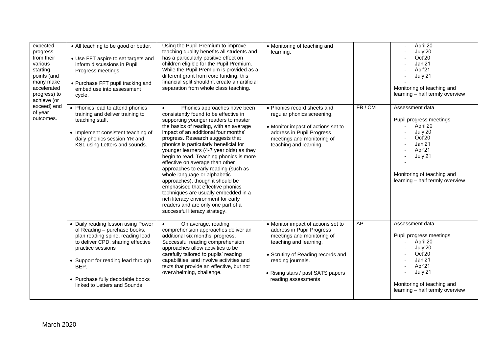| expected<br>progress<br>from their<br>various<br>starting<br>points (and<br>many make<br>accelerated<br>progress) to<br>achieve (or | • All teaching to be good or better.<br>• Use FFT aspire to set targets and<br>inform discussions in Pupil<br>Progress meetings<br>• Purchase FFT pupil tracking and<br>embed use into assessment<br>cycle.                                                                        | Using the Pupil Premium to improve<br>teaching quality benefits all students and<br>has a particularly positive effect on<br>children eligible for the Pupil Premium.<br>While the Pupil Premium is provided as a<br>different grant from core funding, this<br>financial split shouldn't create an artificial<br>separation from whole class teaching.                                                                                                                                                                                                                                                                                                                                                                     | • Monitoring of teaching and<br>learning.                                                                                                                                                                                                     |       | April'20<br>July'20<br>Oct'20<br>Jan'21<br>Apr'21<br>July'21<br>Monitoring of teaching and<br>learning - half termly overview                                                                 |
|-------------------------------------------------------------------------------------------------------------------------------------|------------------------------------------------------------------------------------------------------------------------------------------------------------------------------------------------------------------------------------------------------------------------------------|-----------------------------------------------------------------------------------------------------------------------------------------------------------------------------------------------------------------------------------------------------------------------------------------------------------------------------------------------------------------------------------------------------------------------------------------------------------------------------------------------------------------------------------------------------------------------------------------------------------------------------------------------------------------------------------------------------------------------------|-----------------------------------------------------------------------------------------------------------------------------------------------------------------------------------------------------------------------------------------------|-------|-----------------------------------------------------------------------------------------------------------------------------------------------------------------------------------------------|
| exceed) end<br>of year<br>outcomes.                                                                                                 | • Phonics lead to attend phonics<br>training and deliver training to<br>teaching staff.<br>• Implement consistent teaching of<br>daily phonics session YR and<br>KS1 using Letters and sounds.                                                                                     | Phonics approaches have been<br>$\bullet$<br>consistently found to be effective in<br>supporting younger readers to master<br>the basics of reading, with an average<br>impact of an additional four months'<br>progress. Research suggests that<br>phonics is particularly beneficial for<br>younger learners (4-7 year olds) as they<br>begin to read. Teaching phonics is more<br>effective on average than other<br>approaches to early reading (such as<br>whole language or alphabetic<br>approaches), though it should be<br>emphasised that effective phonics<br>techniques are usually embedded in a<br>rich literacy environment for early<br>readers and are only one part of a<br>successful literacy strategy. | • Phonics record sheets and<br>regular phonics screening.<br>• Monitor impact of actions set to<br>address in Pupil Progress<br>meetings and monitoring of<br>teaching and learning.                                                          | FB/CM | Assessment data<br>Pupil progress meetings<br>April'20<br>July'20<br>Oct'20<br>Jan'21<br>Apr'21<br>July'21<br>$\blacksquare$<br>Monitoring of teaching and<br>learning - half termly overview |
|                                                                                                                                     | • Daily reading lesson using Power<br>of Reading - purchase books,<br>plan reading spine, reading lead<br>to deliver CPD, sharing effective<br>practice sessions<br>• Support for reading lead through<br>BEP.<br>• Purchase fully decodable books<br>linked to Letters and Sounds | $\bullet$<br>On average, reading<br>comprehension approaches deliver an<br>additional six months' progress.<br>Successful reading comprehension<br>approaches allow activities to be<br>carefully tailored to pupils' reading<br>capabilities, and involve activities and<br>texts that provide an effective, but not<br>overwhelming, challenge.                                                                                                                                                                                                                                                                                                                                                                           | • Monitor impact of actions set to<br>address in Pupil Progress<br>meetings and monitoring of<br>teaching and learning.<br>• Scrutiny of Reading records and<br>reading journals.<br>• Rising stars / past SATS papers<br>reading assessments | AP    | Assessment data<br>Pupil progress meetings<br>April'20<br>July'20<br>Oct'20<br>Jan'21<br>Apr'21<br>July'21<br>Monitoring of teaching and<br>learning - half termly overview                   |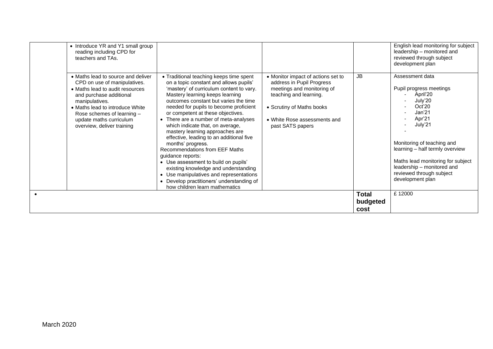| • Introduce YR and Y1 small group<br>reading including CPD for<br>teachers and TAs.<br>• Maths lead to source and deliver<br>CPD on use of manipulatives.<br>• Maths lead to audit resources<br>and purchase additional<br>manipulatives.<br>• Maths lead to introduce White<br>Rose schemes of learning -<br>update maths curriculum<br>overview, deliver training | • Traditional teaching keeps time spent<br>on a topic constant and allows pupils'<br>'mastery' of curriculum content to vary.<br>Mastery learning keeps learning<br>outcomes constant but varies the time<br>needed for pupils to become proficient<br>or competent at these objectives.<br>• There are a number of meta-analyses<br>which indicate that, on average,<br>mastery learning approaches are<br>effective, leading to an additional five<br>months' progress.<br>Recommendations from EEF Maths<br>guidance reports:<br>• Use assessment to build on pupils'<br>existing knowledge and understanding<br>• Use manipulatives and representations<br>• Develop practitioners' understanding of | • Monitor impact of actions set to<br>address in Pupil Progress<br>meetings and monitoring of<br>teaching and learning.<br>• Scrutiny of Maths books<br>• White Rose assessments and<br>past SATS papers | <b>JB</b>                        | English lead monitoring for subject<br>leadership - monitored and<br>reviewed through subject<br>development plan<br>Assessment data<br>Pupil progress meetings<br>April'20<br>July'20<br>Oct'20<br>Jan <sub>21</sub><br>Apr'21<br>July'21<br>$\overline{\phantom{a}}$<br>Monitoring of teaching and<br>learning - half termly overview<br>Maths lead monitoring for subject<br>leadership - monitored and<br>reviewed through subject<br>development plan |
|---------------------------------------------------------------------------------------------------------------------------------------------------------------------------------------------------------------------------------------------------------------------------------------------------------------------------------------------------------------------|----------------------------------------------------------------------------------------------------------------------------------------------------------------------------------------------------------------------------------------------------------------------------------------------------------------------------------------------------------------------------------------------------------------------------------------------------------------------------------------------------------------------------------------------------------------------------------------------------------------------------------------------------------------------------------------------------------|----------------------------------------------------------------------------------------------------------------------------------------------------------------------------------------------------------|----------------------------------|------------------------------------------------------------------------------------------------------------------------------------------------------------------------------------------------------------------------------------------------------------------------------------------------------------------------------------------------------------------------------------------------------------------------------------------------------------|
|                                                                                                                                                                                                                                                                                                                                                                     | how children learn mathematics                                                                                                                                                                                                                                                                                                                                                                                                                                                                                                                                                                                                                                                                           |                                                                                                                                                                                                          | <b>Total</b><br>budgeted<br>cost | £12000                                                                                                                                                                                                                                                                                                                                                                                                                                                     |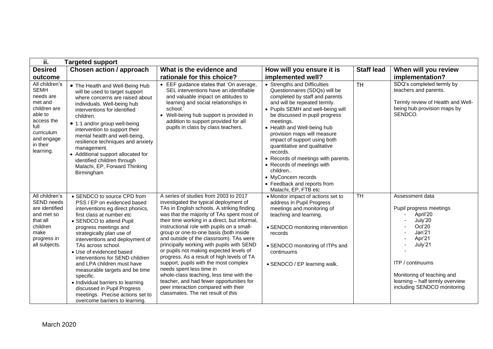| ii.                                                                                                                                                         | <b>Targeted support</b>                                                                                                                                                                                                                                                                                                                                                                                                                                                                                                                                      |                                                                                                                                                                                                                                                                                                                                                                                                                                                                                                                                                                                                                                                                                                                                                  |                                                                                                                                                                                                                                                                                                                                                                                                                                                                                                                              |                   |                                                                                                                                                                                                                                       |
|-------------------------------------------------------------------------------------------------------------------------------------------------------------|--------------------------------------------------------------------------------------------------------------------------------------------------------------------------------------------------------------------------------------------------------------------------------------------------------------------------------------------------------------------------------------------------------------------------------------------------------------------------------------------------------------------------------------------------------------|--------------------------------------------------------------------------------------------------------------------------------------------------------------------------------------------------------------------------------------------------------------------------------------------------------------------------------------------------------------------------------------------------------------------------------------------------------------------------------------------------------------------------------------------------------------------------------------------------------------------------------------------------------------------------------------------------------------------------------------------------|------------------------------------------------------------------------------------------------------------------------------------------------------------------------------------------------------------------------------------------------------------------------------------------------------------------------------------------------------------------------------------------------------------------------------------------------------------------------------------------------------------------------------|-------------------|---------------------------------------------------------------------------------------------------------------------------------------------------------------------------------------------------------------------------------------|
| <b>Desired</b>                                                                                                                                              | Chosen action / approach                                                                                                                                                                                                                                                                                                                                                                                                                                                                                                                                     | What is the evidence and                                                                                                                                                                                                                                                                                                                                                                                                                                                                                                                                                                                                                                                                                                                         | How will you ensure it is                                                                                                                                                                                                                                                                                                                                                                                                                                                                                                    | <b>Staff lead</b> | When will you review                                                                                                                                                                                                                  |
| outcome                                                                                                                                                     |                                                                                                                                                                                                                                                                                                                                                                                                                                                                                                                                                              | rationale for this choice?                                                                                                                                                                                                                                                                                                                                                                                                                                                                                                                                                                                                                                                                                                                       | implemented well?                                                                                                                                                                                                                                                                                                                                                                                                                                                                                                            |                   | implementation?                                                                                                                                                                                                                       |
| All children's<br><b>SEMH</b><br>needs are<br>met and<br>children are<br>able to<br>access the<br>full<br>curriculum<br>and engage<br>in their<br>learning. | • The Health and Well-Being Hub<br>will be used to target support<br>where concerns are raised about<br>individuals. Well-being hub<br>interventions for identified<br>children.<br>• 1:1 and/or group well-being<br>intervention to support their<br>mental health and well-being,<br>resilience techniques and anxiety<br>management.<br>• Additional support allocated for<br>identified children through<br>Malachi, EP, Forward Thinking<br>Birmingham                                                                                                  | • EEF guidance states that 'On average,<br>SEL interventions have an identifiable<br>and valuable impact on attitudes to<br>learning and social relationships in<br>school.'<br>• Well-being hub support is provided in<br>addition to support provided for all<br>pupils in class by class teachers.                                                                                                                                                                                                                                                                                                                                                                                                                                            | • Strengths and Difficulties<br>Questionnaires (SDQs) will be<br>completed by staff and parents<br>and will be repeated termly.<br>• Pupils SEMH and well-being will<br>be discussed in pupil progress<br>meetings.<br>• Health and Well-being hub<br>provision maps will measure<br>impact of support using both<br>quantitative and qualitative<br>records.<br>• Records of meetings with parents.<br>• Records of meetings with<br>children<br>• MyConcern records<br>• Feedback and reports from<br>Malachi, EP, FTB etc | <b>TH</b>         | SDQ's completed termly by<br>teachers and parents.<br>Termly review of Health and Well-<br>being hub provision maps by<br>SENDCO.                                                                                                     |
| All children's<br><b>SEND needs</b><br>are identified<br>and met so<br>that all<br>children<br>make<br>progress in<br>all subjects.                         | • SENDCO to source CPD from<br>PSS / EP on evidenced based<br>interventions eg direct phonics,<br>first class at number etc<br>• SENDCO to attend Pupil<br>progress meetings and<br>strategically plan use of<br>interventions and deployment of<br>TAs across school.<br>• Use of evidenced based<br>interventions for SEND children<br>and LPA children must have<br>measurable targets and be time<br>specific.<br>• Individual barriers to learning<br>discussed in Pupil Progress<br>meetings. Precise actions set to<br>overcome barriers to learning. | A series of studies from 2003 to 2017<br>investigated the typical deployment of<br>TAs in English schools. A striking finding<br>was that the majority of TAs spent most of<br>their time working in a direct, but informal,<br>instructional role with pupils on a small-<br>group or one-to-one basis (both inside<br>and outside of the classroom). TAs were<br>principally working with pupils with SEND<br>or pupils not making expected levels of<br>progress. As a result of high levels of TA<br>support, pupils with the most complex<br>needs spent less time in<br>whole-class teaching, less time with the<br>teacher, and had fewer opportunities for<br>peer interaction compared with their<br>classmates. The net result of this | • Monitor impact of actions set to<br>address in Pupil Progress<br>meetings and monitoring of<br>teaching and learning.<br>• SENDCO monitoring intervention<br>records<br>• SENDCO monitoring of ITPs and<br>continuums<br>• SENDCO / EP learning walk.                                                                                                                                                                                                                                                                      | <b>TH</b>         | Assessment data<br>Pupil progress meetings<br>April'20<br>July'20<br>Oct'20<br>Jan'21<br>Apr'21<br>July'21<br><b>ITP</b> / continuums<br>Monitoring of teaching and<br>learning - half termly overview<br>including SENDCO monitoring |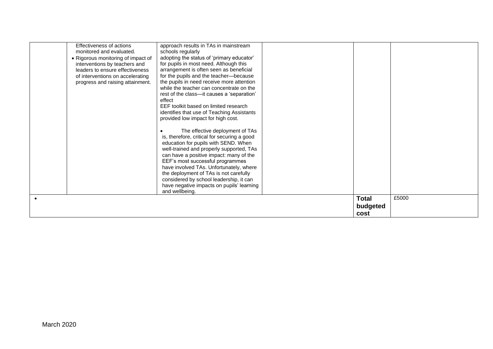| Effectiveness of actions<br>monitored and evaluated.<br>• Rigorous monitoring of impact of<br>interventions by teachers and<br>leaders to ensure effectiveness<br>of interventions on accelerating<br>progress and raising attainment. | approach results in TAs in mainstream<br>schools regularly<br>adopting the status of 'primary educator'<br>for pupils in most need. Although this<br>arrangement is often seen as beneficial<br>for the pupils and the teacher-because<br>the pupils in need receive more attention<br>while the teacher can concentrate on the<br>rest of the class-it causes a 'separation'<br>effect<br>EEF toolkit based on limited research<br>identifies that use of Teaching Assistants<br>provided low impact for high cost.<br>The effective deployment of TAs<br>is, therefore, critical for securing a good<br>education for pupils with SEND. When<br>well-trained and properly supported, TAs<br>can have a positive impact: many of the<br>EEF's most successful programmes<br>have involved TAs. Unfortunately, where<br>the deployment of TAs is not carefully<br>considered by school leadership, it can<br>have negative impacts on pupils' learning<br>and wellbeing. | <b>Total</b> | £5000 |
|----------------------------------------------------------------------------------------------------------------------------------------------------------------------------------------------------------------------------------------|--------------------------------------------------------------------------------------------------------------------------------------------------------------------------------------------------------------------------------------------------------------------------------------------------------------------------------------------------------------------------------------------------------------------------------------------------------------------------------------------------------------------------------------------------------------------------------------------------------------------------------------------------------------------------------------------------------------------------------------------------------------------------------------------------------------------------------------------------------------------------------------------------------------------------------------------------------------------------|--------------|-------|
|                                                                                                                                                                                                                                        |                                                                                                                                                                                                                                                                                                                                                                                                                                                                                                                                                                                                                                                                                                                                                                                                                                                                                                                                                                          | budgeted     |       |
|                                                                                                                                                                                                                                        |                                                                                                                                                                                                                                                                                                                                                                                                                                                                                                                                                                                                                                                                                                                                                                                                                                                                                                                                                                          | cost         |       |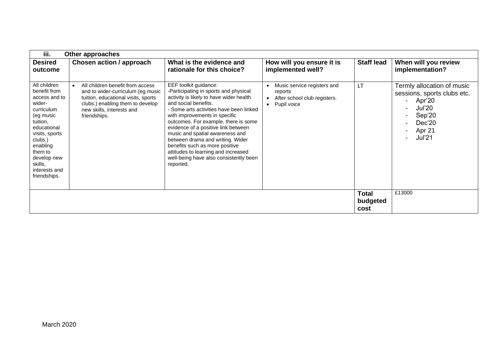| iii.                                                                                                                                                                                                                         | Other approaches                                                                                                                                                                              |                                                                                                                                                                                                                                                                                                                                                                                                                                                                                                     |                                                                                                    |                   |                                                                                                                                                         |  |  |
|------------------------------------------------------------------------------------------------------------------------------------------------------------------------------------------------------------------------------|-----------------------------------------------------------------------------------------------------------------------------------------------------------------------------------------------|-----------------------------------------------------------------------------------------------------------------------------------------------------------------------------------------------------------------------------------------------------------------------------------------------------------------------------------------------------------------------------------------------------------------------------------------------------------------------------------------------------|----------------------------------------------------------------------------------------------------|-------------------|---------------------------------------------------------------------------------------------------------------------------------------------------------|--|--|
| <b>Desired</b><br>outcome                                                                                                                                                                                                    | Chosen action / approach                                                                                                                                                                      | What is the evidence and<br>rationale for this choice?                                                                                                                                                                                                                                                                                                                                                                                                                                              | How will you ensure it is<br>implemented well?                                                     | <b>Staff lead</b> | When will you review<br>implementation?                                                                                                                 |  |  |
| All children<br>benefit from<br>access and to<br>wider-<br>curriculum<br>(eg music<br>tuition,<br>educational<br>visits, sports<br>clubs.)<br>enabling<br>them to<br>develop new<br>skills,<br>interests and<br>friendships. | All children benefit from access<br>and to wider-curriculum (eg music<br>tuition, educational visits, sports<br>clubs.) enabling them to develop<br>new skills, interests and<br>friendships. | EEF toolkit guidance:<br>-Participating in sports and physical<br>activity is likely to have wider health<br>and social benefits.<br>- Some arts activities have been linked<br>with improvements in specific<br>outcomes. For example, there is some<br>evidence of a positive link between<br>music and spatial awareness and<br>between drama and writing. Wider<br>benefits such as more positive<br>attitudes to learning and increased<br>well-being have also consistently been<br>reported. | Music service registers and<br>reports<br>After school club registers.<br>Pupil voice<br>$\bullet$ | <b>LT</b>         | Termly allocation of music<br>sessions, sports clubs etc.<br>Apr'20<br>$\sim$ 100 $\mu$<br><b>Jul'20</b><br>Sep'20<br>Dec'20<br>Apr 21<br><b>Jul'21</b> |  |  |
|                                                                                                                                                                                                                              | £13000<br><b>Total</b><br>budgeted<br>cost                                                                                                                                                    |                                                                                                                                                                                                                                                                                                                                                                                                                                                                                                     |                                                                                                    |                   |                                                                                                                                                         |  |  |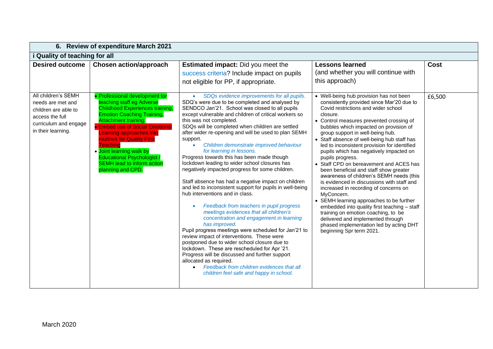|                                                                                                             | 6. Review of expenditure March 2021                                                                                                                                                                                                                                                                                                                                                          |                                                                                                                                                                                                                                                                                                                                                                                                                                                                                                                                                                                                                                                                                                                                                                                                                                                                                                                                                                                                                                                                                                                                                                                                                                                    |                                                                                                                                                                                                                                                                                                                                                                                                                                                                                                                                                                                                                                                                                                                                                                                                                                                                       |                |  |  |
|-------------------------------------------------------------------------------------------------------------|----------------------------------------------------------------------------------------------------------------------------------------------------------------------------------------------------------------------------------------------------------------------------------------------------------------------------------------------------------------------------------------------|----------------------------------------------------------------------------------------------------------------------------------------------------------------------------------------------------------------------------------------------------------------------------------------------------------------------------------------------------------------------------------------------------------------------------------------------------------------------------------------------------------------------------------------------------------------------------------------------------------------------------------------------------------------------------------------------------------------------------------------------------------------------------------------------------------------------------------------------------------------------------------------------------------------------------------------------------------------------------------------------------------------------------------------------------------------------------------------------------------------------------------------------------------------------------------------------------------------------------------------------------|-----------------------------------------------------------------------------------------------------------------------------------------------------------------------------------------------------------------------------------------------------------------------------------------------------------------------------------------------------------------------------------------------------------------------------------------------------------------------------------------------------------------------------------------------------------------------------------------------------------------------------------------------------------------------------------------------------------------------------------------------------------------------------------------------------------------------------------------------------------------------|----------------|--|--|
| i Quality of teaching for all                                                                               |                                                                                                                                                                                                                                                                                                                                                                                              |                                                                                                                                                                                                                                                                                                                                                                                                                                                                                                                                                                                                                                                                                                                                                                                                                                                                                                                                                                                                                                                                                                                                                                                                                                                    |                                                                                                                                                                                                                                                                                                                                                                                                                                                                                                                                                                                                                                                                                                                                                                                                                                                                       |                |  |  |
| <b>Desired outcome</b><br>All children's SEMH                                                               | <b>Chosen action/approach</b><br>• Professional development tor                                                                                                                                                                                                                                                                                                                              | <b>Estimated impact:</b> Did you meet the<br>success criteria? Include impact on pupils<br>not eligible for PP, if appropriate.<br>SDQs evidence improvements for all pupils.<br>$\bullet$                                                                                                                                                                                                                                                                                                                                                                                                                                                                                                                                                                                                                                                                                                                                                                                                                                                                                                                                                                                                                                                         | <b>Lessons learned</b><br>(and whether you will continue with<br>this approach)<br>• Well-being hub provision has not been                                                                                                                                                                                                                                                                                                                                                                                                                                                                                                                                                                                                                                                                                                                                            | Cost<br>£6,500 |  |  |
| needs are met and<br>children are able to<br>access the full<br>curriculum and engage<br>in their learning. | teaching staff eg Adverse<br><b>Childhood Experiences training,</b><br><b>Emotion Coaching Training,</b><br><b>Attachment training.</b><br><b>Embed use of Social Emotiona</b><br>earning approaches into<br><b>routines for Quality First</b><br><b>Teaching</b><br>. Joint learning walk by<br><b>Educational Psychologist /</b><br><b>SEMH lead to inform action</b><br>planning and CPD. | SDQ's were due to be completed and analysed by<br>SENDCO Jan'21. School was closed to all pupils<br>except vulnerable and children of critical workers so<br>this was not completed.<br>SDQs will be completed when children are settled<br>after wider re-opening and will be used to plan SEMH<br>support.<br>Children demonstrate improved behaviour<br>$\bullet$<br>for learning in lessons.<br>Progress towards this has been made though<br>lockdown leading to wider school closures has<br>negatively impacted progress for some children.<br>Staff absence has had a negative impact on children<br>and led to inconsistent support for pupils in well-being<br>hub interventions and in class.<br>Feedback from teachers in pupil progress<br>$\bullet$<br>meetings evidences that all children's<br>concentration and engagement in learning<br>has improved.<br>Pupil progress meetings were scheduled for Jan'21 to<br>review impact of interventions. These were<br>postponed due to wider school closure due to<br>lockdown. These are rescheduled for Apr '21.<br>Progress will be discussed and further support<br>allocated as required.<br>Feedback from children evidences that all<br>children feel safe and happy in school. | consistently provided since Mar'20 due to<br>Covid restrictions and wider school<br>closure.<br>• Control measures prevented crossing of<br>bubbles which impacted on provision of<br>group support in well-being hub.<br>• Staff absence of well-being hub staff has<br>led to inconsistent provision for identified<br>pupils which has negatively impacted on<br>pupils progress.<br>Staff CPD on bereavement and ACES has<br>been beneficial and staff show greater<br>awareness of children's SEMH needs (this<br>is evidenced in discussions with staff and<br>increased in recording of concerns on<br>MyConcern.<br>SEMH learning approaches to be further<br>embedded into quality first teaching - staff<br>training on emotion coaching, to be<br>delivered and implemented through<br>phased implementation led by acting DHT<br>beginning Spr term 2021. |                |  |  |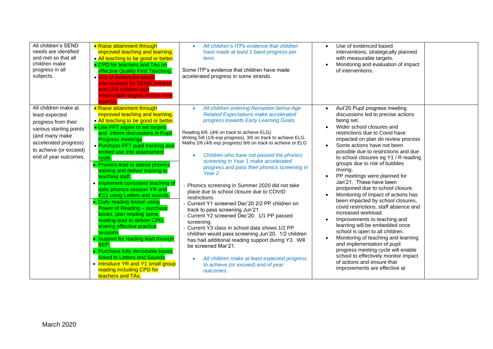| All children's SEND<br>needs are identified<br>and met so that all<br>children make<br>progress in all<br>subjects.                                                                    | • Raise attainment through<br>improved teaching and learning.<br>• All teaching to be good or better.<br>• CPD for teachers and TAs on<br>effective Quality First Teaching.<br>• Use of evidenced based<br>nterventions for SEND children<br>and LPA children with<br>neasurable targets and be time<br>specific.                                                                                                                                                                                                                                                                                                                                                                                                                                                                                                                                                   | All children's ITPs evidence that children<br>have made at least 1 band progress per<br>term.<br>Some ITP's evidence that children have made<br>accelerated progress in some strands.                                                                                                                                                                                                                                                                                                                                                                                                                                                                                                                                                                                                                                                                                                                                                                                                                                          | Use of evidenced based<br>interventions, strategically planned<br>with measurable targets.<br>Monitoring and evaluation of impact<br>of interventions.                                                                                                                                                                                                                                                                                                                                                                                                                                                                                                                                                                                                                                                                                                                                                              |
|----------------------------------------------------------------------------------------------------------------------------------------------------------------------------------------|---------------------------------------------------------------------------------------------------------------------------------------------------------------------------------------------------------------------------------------------------------------------------------------------------------------------------------------------------------------------------------------------------------------------------------------------------------------------------------------------------------------------------------------------------------------------------------------------------------------------------------------------------------------------------------------------------------------------------------------------------------------------------------------------------------------------------------------------------------------------|--------------------------------------------------------------------------------------------------------------------------------------------------------------------------------------------------------------------------------------------------------------------------------------------------------------------------------------------------------------------------------------------------------------------------------------------------------------------------------------------------------------------------------------------------------------------------------------------------------------------------------------------------------------------------------------------------------------------------------------------------------------------------------------------------------------------------------------------------------------------------------------------------------------------------------------------------------------------------------------------------------------------------------|---------------------------------------------------------------------------------------------------------------------------------------------------------------------------------------------------------------------------------------------------------------------------------------------------------------------------------------------------------------------------------------------------------------------------------------------------------------------------------------------------------------------------------------------------------------------------------------------------------------------------------------------------------------------------------------------------------------------------------------------------------------------------------------------------------------------------------------------------------------------------------------------------------------------|
| All children make at<br>least expected<br>progress from their<br>various starting points<br>(and many make<br>accelerated progress)<br>to achieve (or exceed)<br>end of year outcomes. | • Raise attainment through<br>improved teaching and learning.<br>• All teaching to be good or better.<br>• Use FFT aspire to set targets<br>and inform discussions in Pupil<br><b>Progress meetings</b><br>• Purchase FFT pupil tracking and<br>embed use into assessment<br>cycle.<br>• Phonics lead to attend phonics<br>training and deliver training to<br>teaching staff.<br>• Implement consistent teaching of<br>daily phonics session YR and<br>KS1 using Letters and sounds.<br>Daily reading lesson using<br>Power of Reading - purchase<br>books, plan reading spine,<br>reading lead to deliver CPD,<br>sharing effective practice<br>sessions<br>• Support for reading lead through<br>BEP.<br>• Purchase fully decodable books<br>linked to Letters and Sounds<br>• Introduce YR and Y1 small group<br>reading including CPD for<br>teachers and TAs. | All children entering Reception below Age<br>$\bullet$<br><b>Related Expectations make accelerated</b><br>progress towards Early Learning Goals.<br>Reading 6/6. (4/6 on track to achieve ELG)<br>Writing 5/6 (1/6 exp progress), 3/6 on track to achieve ELG.<br>Maths 2/6 (4/6 exp progress) 6/6 on track to achieve or ELG<br>Children who have not passed the phonics<br>screening in Year 1 make accelerated<br>progress and pass their phonics screening in<br>Year 2.<br>Phonics screening in Summer 2020 did not take<br>place due to school closure due to COVID<br>restrictions.<br>Current Y1 screened Dec'20 2/2 PP children on<br>track to pass screening Jun'21<br>Current Y2 screened Dec'20. 1/1 PP passed<br>screening.<br>Current Y3 class in school data shows 1/2 PP<br>children would pass screening Jun'20. 1/2 children<br>has had additional reading support during Y3. Will<br>be screened Mar'21.<br>All children make at least expected progress<br>to achieve (or exceed) end of year<br>outcomes. | Aut'20 Pupil progress meeting<br>discussions led to precise actions<br>being set.<br>Wider school closures and<br>restrictions due to Covid have<br>impacted on plan do review process<br>Some actions have not been<br>possible due to restrictions and due<br>to school closures eg Y1 / R reading<br>groups due to risk of bubbles<br>mixing.<br>PP meetings were planned for<br>Jan'21. These have been<br>postponed due to school closure.<br>Monitoring of impact of actions has<br>been impacted by school closures,<br>covid restrictions, staff absence and<br>increased workload.<br>Improvements to teaching and<br>learning will be embedded once<br>school is open to all children.<br>Monitoring of teaching and learning<br>and implementation of pupil<br>progress meeting cycle will enable<br>school to effectively monitor impact<br>of actions and ensure that<br>improvements are effective at |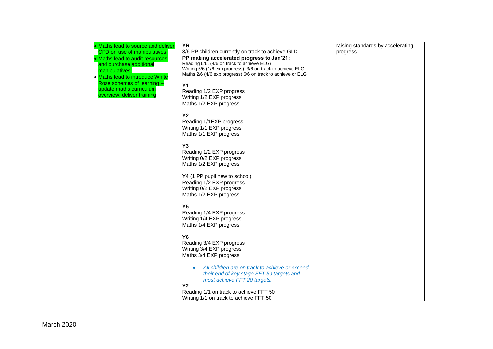| • Maths lead to source and deliver | $\overline{YR}$                                                                                                             | raising standards by accelerating |
|------------------------------------|-----------------------------------------------------------------------------------------------------------------------------|-----------------------------------|
| CPD on use of manipulatives.       | 3/6 PP children currently on track to achieve GLD                                                                           | progress.                         |
| • Maths lead to audit resources    | PP making accelerated progress to Jan'21:                                                                                   |                                   |
| and purchase additional            | Reading 6/6. (4/6 on track to achieve ELG)                                                                                  |                                   |
| manipulatives.                     | Writing 5/6 (1/6 exp progress), 3/6 on track to achieve ELG.<br>Maths 2/6 (4/6 exp progress) 6/6 on track to achieve or ELG |                                   |
| • Maths lead to introduce White    |                                                                                                                             |                                   |
| Rose schemes of learning -         | <b>Y1</b>                                                                                                                   |                                   |
| update maths curriculum            | Reading 1/2 EXP progress                                                                                                    |                                   |
| overview, deliver training         | Writing 1/2 EXP progress                                                                                                    |                                   |
|                                    |                                                                                                                             |                                   |
|                                    | Maths 1/2 EXP progress                                                                                                      |                                   |
|                                    |                                                                                                                             |                                   |
|                                    | <b>Y2</b>                                                                                                                   |                                   |
|                                    | Reading 1/1EXP progress                                                                                                     |                                   |
|                                    | Writing 1/1 EXP progress                                                                                                    |                                   |
|                                    | Maths 1/1 EXP progress                                                                                                      |                                   |
|                                    |                                                                                                                             |                                   |
|                                    | Y <sub>3</sub>                                                                                                              |                                   |
|                                    | Reading 1/2 EXP progress                                                                                                    |                                   |
|                                    | Writing 0/2 EXP progress                                                                                                    |                                   |
|                                    | Maths 1/2 EXP progress                                                                                                      |                                   |
|                                    |                                                                                                                             |                                   |
|                                    | Y4 (1 PP pupil new to school)                                                                                               |                                   |
|                                    | Reading 1/2 EXP progress                                                                                                    |                                   |
|                                    | Writing 0/2 EXP progress                                                                                                    |                                   |
|                                    | Maths 1/2 EXP progress                                                                                                      |                                   |
|                                    |                                                                                                                             |                                   |
|                                    | <b>Y5</b>                                                                                                                   |                                   |
|                                    | Reading 1/4 EXP progress                                                                                                    |                                   |
|                                    | Writing 1/4 EXP progress                                                                                                    |                                   |
|                                    | Maths 1/4 EXP progress                                                                                                      |                                   |
|                                    |                                                                                                                             |                                   |
|                                    | <b>Y6</b>                                                                                                                   |                                   |
|                                    | Reading 3/4 EXP progress                                                                                                    |                                   |
|                                    | Writing 3/4 EXP progress                                                                                                    |                                   |
|                                    | Maths 3/4 EXP progress                                                                                                      |                                   |
|                                    |                                                                                                                             |                                   |
|                                    | All children are on track to achieve or exceed<br>$\bullet$                                                                 |                                   |
|                                    | their end of key stage FFT 50 targets and                                                                                   |                                   |
|                                    | most achieve FFT 20 targets.                                                                                                |                                   |
|                                    | <b>Y2</b>                                                                                                                   |                                   |
|                                    | Reading 1/1 on track to achieve FFT 50                                                                                      |                                   |
|                                    | Writing 1/1 on track to achieve FFT 50                                                                                      |                                   |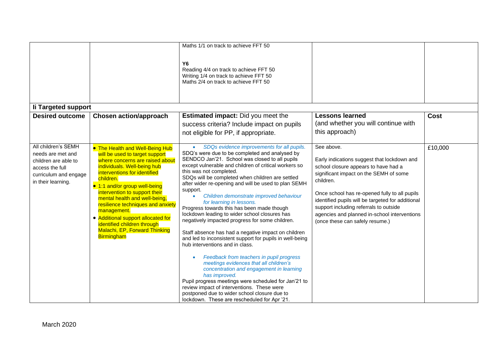|                                                                                                                                    |                                                                                                                                                                                                                                                                                                                                                                                                                                                                           | Maths 1/1 on track to achieve FFT 50<br><b>Y6</b><br>Reading 4/4 on track to achieve FFT 50<br>Writing 1/4 on track to achieve FFT 50<br>Maths 2/4 on track to achieve FFT 50                                                                                                                                                                                                                                                                                                                                                                                                                                                                                                                                                                                                                                                                                                                                                                                                                                                                                                                                                |                                                                                                                                                                                                                                                                                                                                                                                             |         |
|------------------------------------------------------------------------------------------------------------------------------------|---------------------------------------------------------------------------------------------------------------------------------------------------------------------------------------------------------------------------------------------------------------------------------------------------------------------------------------------------------------------------------------------------------------------------------------------------------------------------|------------------------------------------------------------------------------------------------------------------------------------------------------------------------------------------------------------------------------------------------------------------------------------------------------------------------------------------------------------------------------------------------------------------------------------------------------------------------------------------------------------------------------------------------------------------------------------------------------------------------------------------------------------------------------------------------------------------------------------------------------------------------------------------------------------------------------------------------------------------------------------------------------------------------------------------------------------------------------------------------------------------------------------------------------------------------------------------------------------------------------|---------------------------------------------------------------------------------------------------------------------------------------------------------------------------------------------------------------------------------------------------------------------------------------------------------------------------------------------------------------------------------------------|---------|
| li Targeted support                                                                                                                |                                                                                                                                                                                                                                                                                                                                                                                                                                                                           |                                                                                                                                                                                                                                                                                                                                                                                                                                                                                                                                                                                                                                                                                                                                                                                                                                                                                                                                                                                                                                                                                                                              |                                                                                                                                                                                                                                                                                                                                                                                             |         |
| <b>Desired outcome</b>                                                                                                             | <b>Chosen action/approach</b>                                                                                                                                                                                                                                                                                                                                                                                                                                             | <b>Estimated impact:</b> Did you meet the<br>success criteria? Include impact on pupils<br>not eligible for PP, if appropriate.                                                                                                                                                                                                                                                                                                                                                                                                                                                                                                                                                                                                                                                                                                                                                                                                                                                                                                                                                                                              | <b>Lessons learned</b><br>(and whether you will continue with<br>this approach)                                                                                                                                                                                                                                                                                                             | Cost    |
| All children's SEMH<br>needs are met and<br>children are able to<br>access the full<br>curriculum and engage<br>in their learning. | • The Health and Well-Being Hub<br>will be used to target support<br>where concerns are raised about<br>individuals. Well-being hub<br>interventions for identified<br>children.<br>• 1:1 and/or group well-being<br>intervention to support their<br>mental health and well-being,<br>resilience techniques and anxiety<br>management.<br>• Additional support allocated for<br>identified children through<br><b>Malachi, EP, Forward Thinking</b><br><b>Birmingham</b> | SDQs evidence improvements for all pupils.<br>$\bullet$<br>SDQ's were due to be completed and analysed by<br>SENDCO Jan'21. School was closed to all pupils<br>except vulnerable and children of critical workers so<br>this was not completed.<br>SDQs will be completed when children are settled<br>after wider re-opening and will be used to plan SEMH<br>support.<br>Children demonstrate improved behaviour<br>$\bullet$<br>for learning in lessons.<br>Progress towards this has been made though<br>lockdown leading to wider school closures has<br>negatively impacted progress for some children.<br>Staff absence has had a negative impact on children<br>and led to inconsistent support for pupils in well-being<br>hub interventions and in class.<br>Feedback from teachers in pupil progress<br>meetings evidences that all children's<br>concentration and engagement in learning<br>has improved.<br>Pupil progress meetings were scheduled for Jan'21 to<br>review impact of interventions. These were<br>postponed due to wider school closure due to<br>lockdown. These are rescheduled for Apr '21. | See above.<br>Early indications suggest that lockdown and<br>school closure appears to have had a<br>significant impact on the SEMH of some<br>children.<br>Once school has re-opened fully to all pupils<br>identified pupils will be targeted for additional<br>support including referrals to outside<br>agencies and planned in-school interventions<br>(once these can safely resume.) | £10,000 |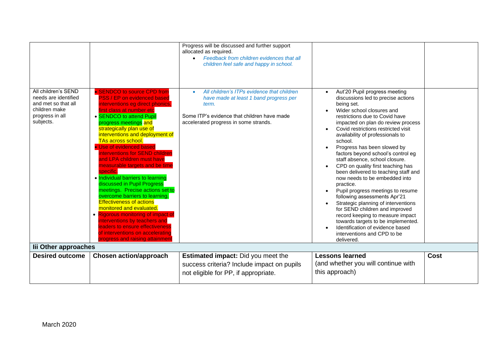| All children's SEND<br>• SENDCO to source CPD from<br>needs are identified<br><b>PSS / EP on evidenced based</b><br>and met so that all<br>interventions eg direct phonics,<br>children make<br>irst class at number etc<br>progress in all<br>• SENDCO to attend Pupil<br>subjects.<br>progress meetings and<br>strategically plan use of<br>interventions and deployment of<br>TAs across school.<br>• Use of evidenced based<br>interventions for SEND children<br>and LPA children must have<br>measurable targets and be time<br>specific.<br>. Individual barriers to learning<br>discussed in Pupil Progress<br>meetings. Precise actions set to<br>overcome barriers to learning.<br><b>Effectiveness of actions</b><br>monitored and evaluated. | allocated as required.<br>• Feedback from children evidences that all<br>children feel safe and happy in school.<br>All children's ITPs evidence that children<br>$\bullet$<br>have made at least 1 band progress per<br>term.<br>Some ITP's evidence that children have made<br>accelerated progress in some strands. | Aut'20 Pupil progress meeting<br>discussions led to precise actions<br>being set.<br>Wider school closures and<br>restrictions due to Covid have<br>impacted on plan do review process<br>Covid restrictions restricted visit<br>availability of professionals to<br>school.<br>Progress has been slowed by<br>factors beyond school's control eg<br>staff absence, school closure.<br>CPD on quality first teaching has<br>been delivered to teaching staff and<br>now needs to be embedded into<br>practice.<br>Pupil progress meetings to resume<br>$\bullet$<br>following assessments Apr'21<br>Strategic planning of interventions<br>for SEND children and improved |      |
|----------------------------------------------------------------------------------------------------------------------------------------------------------------------------------------------------------------------------------------------------------------------------------------------------------------------------------------------------------------------------------------------------------------------------------------------------------------------------------------------------------------------------------------------------------------------------------------------------------------------------------------------------------------------------------------------------------------------------------------------------------|------------------------------------------------------------------------------------------------------------------------------------------------------------------------------------------------------------------------------------------------------------------------------------------------------------------------|---------------------------------------------------------------------------------------------------------------------------------------------------------------------------------------------------------------------------------------------------------------------------------------------------------------------------------------------------------------------------------------------------------------------------------------------------------------------------------------------------------------------------------------------------------------------------------------------------------------------------------------------------------------------------|------|
| • Rigorous monitoring of impact of<br>interventions by teachers and<br>leaders to ensure effectiveness<br>of interventions on accelerating<br>progress and raising attainment                                                                                                                                                                                                                                                                                                                                                                                                                                                                                                                                                                            |                                                                                                                                                                                                                                                                                                                        | record keeping to measure impact<br>towards targets to be implemented.<br>Identification of evidence based<br>interventions and CPD to be<br>delivered.                                                                                                                                                                                                                                                                                                                                                                                                                                                                                                                   |      |
| lii Other approaches                                                                                                                                                                                                                                                                                                                                                                                                                                                                                                                                                                                                                                                                                                                                     |                                                                                                                                                                                                                                                                                                                        |                                                                                                                                                                                                                                                                                                                                                                                                                                                                                                                                                                                                                                                                           |      |
| <b>Chosen action/approach</b><br><b>Desired outcome</b>                                                                                                                                                                                                                                                                                                                                                                                                                                                                                                                                                                                                                                                                                                  | <b>Estimated impact:</b> Did you meet the<br>success criteria? Include impact on pupils<br>not eligible for PP, if appropriate.                                                                                                                                                                                        | <b>Lessons learned</b><br>(and whether you will continue with<br>this approach)                                                                                                                                                                                                                                                                                                                                                                                                                                                                                                                                                                                           | Cost |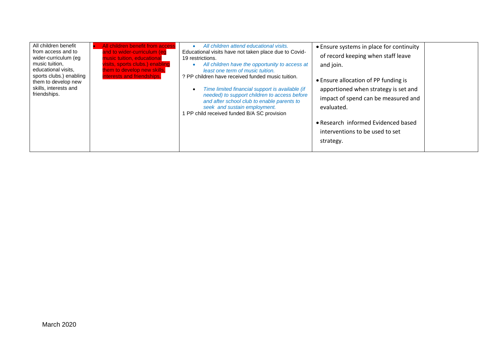| All children benefit<br>All children benefit from access<br>from access and to<br>and to wider-curriculum (eg<br>wider-curriculum (eg<br>music tuition, educational<br>visits, sports clubs.) enabling<br>music tuition.<br>educational visits,<br>them to develop new skills,<br>sports clubs.) enabling<br>interests and friendships.<br>them to develop new<br>skills, interests and<br>friendships. | All children attend educational visits.<br>Educational visits have not taken place due to Covid-<br>19 restrictions.<br>All children have the opportunity to access at<br>least one term of music tuition.<br>? PP children have received funded music tuition.<br>Time limited financial support is available (if<br>$\bullet$<br>needed) to support children to access before<br>and after school club to enable parents to<br>seek and sustain employment.<br>1 PP child received funded B/A SC provision | • Ensure systems in place for continuity<br>of record keeping when staff leave<br>and join.<br>• Ensure allocation of PP funding is<br>apportioned when strategy is set and<br>impact of spend can be measured and<br>evaluated.<br>• Research informed Evidenced based<br>interventions to be used to set<br>strategy. |  |
|---------------------------------------------------------------------------------------------------------------------------------------------------------------------------------------------------------------------------------------------------------------------------------------------------------------------------------------------------------------------------------------------------------|--------------------------------------------------------------------------------------------------------------------------------------------------------------------------------------------------------------------------------------------------------------------------------------------------------------------------------------------------------------------------------------------------------------------------------------------------------------------------------------------------------------|-------------------------------------------------------------------------------------------------------------------------------------------------------------------------------------------------------------------------------------------------------------------------------------------------------------------------|--|
|---------------------------------------------------------------------------------------------------------------------------------------------------------------------------------------------------------------------------------------------------------------------------------------------------------------------------------------------------------------------------------------------------------|--------------------------------------------------------------------------------------------------------------------------------------------------------------------------------------------------------------------------------------------------------------------------------------------------------------------------------------------------------------------------------------------------------------------------------------------------------------------------------------------------------------|-------------------------------------------------------------------------------------------------------------------------------------------------------------------------------------------------------------------------------------------------------------------------------------------------------------------------|--|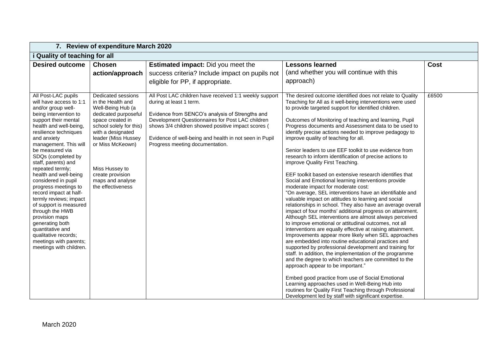|                                                                                                                                                                                                                                                                                                                                                                                                                                                                                                                    | 7. Review of expenditure March 2020                                                                                                                                                        |                                                                                                                                                                                                                                                                         |                                                                                                                                                                                                                                                                                                                                                                                                                                                                                                                                                                                                                                                                                                                                                                                                                                                                                                                                                                                                                                                                                                                                                                                                                                                                                                                                                                                                                                                                                                                            |               |  |  |
|--------------------------------------------------------------------------------------------------------------------------------------------------------------------------------------------------------------------------------------------------------------------------------------------------------------------------------------------------------------------------------------------------------------------------------------------------------------------------------------------------------------------|--------------------------------------------------------------------------------------------------------------------------------------------------------------------------------------------|-------------------------------------------------------------------------------------------------------------------------------------------------------------------------------------------------------------------------------------------------------------------------|----------------------------------------------------------------------------------------------------------------------------------------------------------------------------------------------------------------------------------------------------------------------------------------------------------------------------------------------------------------------------------------------------------------------------------------------------------------------------------------------------------------------------------------------------------------------------------------------------------------------------------------------------------------------------------------------------------------------------------------------------------------------------------------------------------------------------------------------------------------------------------------------------------------------------------------------------------------------------------------------------------------------------------------------------------------------------------------------------------------------------------------------------------------------------------------------------------------------------------------------------------------------------------------------------------------------------------------------------------------------------------------------------------------------------------------------------------------------------------------------------------------------------|---------------|--|--|
| <i>i</i> Quality of teaching for all                                                                                                                                                                                                                                                                                                                                                                                                                                                                               |                                                                                                                                                                                            |                                                                                                                                                                                                                                                                         |                                                                                                                                                                                                                                                                                                                                                                                                                                                                                                                                                                                                                                                                                                                                                                                                                                                                                                                                                                                                                                                                                                                                                                                                                                                                                                                                                                                                                                                                                                                            |               |  |  |
| <b>Desired outcome</b><br>All Post-LAC pupils<br>will have access to 1:1<br>and/or group well-<br>being intervention to                                                                                                                                                                                                                                                                                                                                                                                            | <b>Chosen</b><br>action/approach<br>Dedicated sessions<br>in the Health and<br>Well-Being Hub (a<br>dedicated purposeful                                                                   | <b>Estimated impact:</b> Did you meet the<br>success criteria? Include impact on pupils not<br>eligible for PP, if appropriate.<br>All Post LAC children have received 1:1 weekly support<br>during at least 1 term.<br>Evidence from SENCO's analysis of Strengths and | <b>Lessons learned</b><br>(and whether you will continue with this<br>approach)<br>The desired outcome identified does not relate to Quality<br>Teaching for All as it well-being interventions were used<br>to provide targeted support for identified children.                                                                                                                                                                                                                                                                                                                                                                                                                                                                                                                                                                                                                                                                                                                                                                                                                                                                                                                                                                                                                                                                                                                                                                                                                                                          | Cost<br>£6500 |  |  |
| support their mental<br>health and well-being,<br>resilience techniques<br>and anxiety<br>management. This will<br>be measured via<br>SDQs (completed by<br>staff, parents) and<br>repeated termly;<br>health and well-being<br>considered in pupil<br>progress meetings to<br>record impact at half-<br>termly reviews; impact<br>of support is measured<br>through the HWB<br>provision maps<br>generating both<br>quantitative and<br>qualitative records;<br>meetings with parents;<br>meetings with children. | space created in<br>school solely for this)<br>with a designated<br>leader (Miss Hussey<br>or Miss McKeown)<br>Miss Hussey to<br>create provision<br>maps and analyse<br>the effectiveness | Development Questionnaires for Post LAC children<br>shows 3/4 children showed positive impact scores (<br>Evidence of well-being and health in not seen in Pupil<br>Progress meeting documentation.                                                                     | Outcomes of Monitoring of teaching and learning, Pupil<br>Progress documents and Assessment data to be used to<br>identify precise actions needed to improve pedagogy to<br>improve quality of teaching for all.<br>Senior leaders to use EEF toolkit to use evidence from<br>research to inform identification of precise actions to<br>improve Quality First Teaching.<br>EEF toolkit based on extensive research identifies that<br>Social and Emotional learning interventions provide<br>moderate impact for moderate cost:<br>"On average, SEL interventions have an identifiable and<br>valuable impact on attitudes to learning and social<br>relationships in school. They also have an average overall<br>impact of four months' additional progress on attainment.<br>Although SEL interventions are almost always perceived<br>to improve emotional or attitudinal outcomes, not all<br>interventions are equally effective at raising attainment.<br>Improvements appear more likely when SEL approaches<br>are embedded into routine educational practices and<br>supported by professional development and training for<br>staff. In addition, the implementation of the programme<br>and the degree to which teachers are committed to the<br>approach appear to be important."<br>Embed good practice from use of Social Emotional<br>Learning approaches used in Well-Being Hub into<br>routines for Quality First Teaching through Professional<br>Development led by staff with significant expertise. |               |  |  |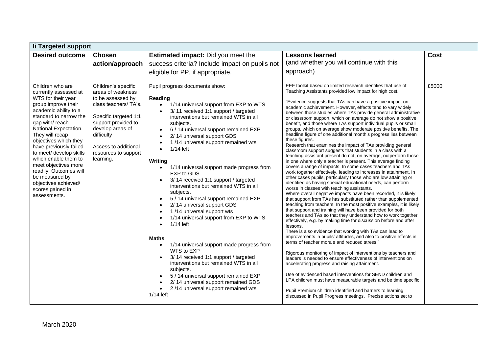| li Targeted support                                                                                                                                                                                                                                                                                                                                                                                                                           |                                                                                                                                                                                                                                       |                                                                                                                                                                                                                                                                                                                                                                                                                                                                                                                                                                                                                                                                                                                                                                                                                                                                                                                                                                                                                         |                                                                                                                                                                                                                                                                                                                                                                                                                                                                                                                                                                                                                                                                                                                                                                                                                                                                                                                                                                                                                                                                                                                                                                                                                                                                                                                                                                                                                                                                                                                                                                                                                                                                                                                                                                                                                                                                                                                                                                                                                                                                                                                                                                                                                                                                |       |  |  |
|-----------------------------------------------------------------------------------------------------------------------------------------------------------------------------------------------------------------------------------------------------------------------------------------------------------------------------------------------------------------------------------------------------------------------------------------------|---------------------------------------------------------------------------------------------------------------------------------------------------------------------------------------------------------------------------------------|-------------------------------------------------------------------------------------------------------------------------------------------------------------------------------------------------------------------------------------------------------------------------------------------------------------------------------------------------------------------------------------------------------------------------------------------------------------------------------------------------------------------------------------------------------------------------------------------------------------------------------------------------------------------------------------------------------------------------------------------------------------------------------------------------------------------------------------------------------------------------------------------------------------------------------------------------------------------------------------------------------------------------|----------------------------------------------------------------------------------------------------------------------------------------------------------------------------------------------------------------------------------------------------------------------------------------------------------------------------------------------------------------------------------------------------------------------------------------------------------------------------------------------------------------------------------------------------------------------------------------------------------------------------------------------------------------------------------------------------------------------------------------------------------------------------------------------------------------------------------------------------------------------------------------------------------------------------------------------------------------------------------------------------------------------------------------------------------------------------------------------------------------------------------------------------------------------------------------------------------------------------------------------------------------------------------------------------------------------------------------------------------------------------------------------------------------------------------------------------------------------------------------------------------------------------------------------------------------------------------------------------------------------------------------------------------------------------------------------------------------------------------------------------------------------------------------------------------------------------------------------------------------------------------------------------------------------------------------------------------------------------------------------------------------------------------------------------------------------------------------------------------------------------------------------------------------------------------------------------------------------------------------------------------------|-------|--|--|
| <b>Desired outcome</b>                                                                                                                                                                                                                                                                                                                                                                                                                        | <b>Chosen</b>                                                                                                                                                                                                                         | <b>Estimated impact:</b> Did you meet the                                                                                                                                                                                                                                                                                                                                                                                                                                                                                                                                                                                                                                                                                                                                                                                                                                                                                                                                                                               | <b>Lessons learned</b>                                                                                                                                                                                                                                                                                                                                                                                                                                                                                                                                                                                                                                                                                                                                                                                                                                                                                                                                                                                                                                                                                                                                                                                                                                                                                                                                                                                                                                                                                                                                                                                                                                                                                                                                                                                                                                                                                                                                                                                                                                                                                                                                                                                                                                         | Cost  |  |  |
|                                                                                                                                                                                                                                                                                                                                                                                                                                               | action/approach                                                                                                                                                                                                                       | success criteria? Include impact on pupils not                                                                                                                                                                                                                                                                                                                                                                                                                                                                                                                                                                                                                                                                                                                                                                                                                                                                                                                                                                          | (and whether you will continue with this                                                                                                                                                                                                                                                                                                                                                                                                                                                                                                                                                                                                                                                                                                                                                                                                                                                                                                                                                                                                                                                                                                                                                                                                                                                                                                                                                                                                                                                                                                                                                                                                                                                                                                                                                                                                                                                                                                                                                                                                                                                                                                                                                                                                                       |       |  |  |
|                                                                                                                                                                                                                                                                                                                                                                                                                                               |                                                                                                                                                                                                                                       | eligible for PP, if appropriate.                                                                                                                                                                                                                                                                                                                                                                                                                                                                                                                                                                                                                                                                                                                                                                                                                                                                                                                                                                                        | approach)                                                                                                                                                                                                                                                                                                                                                                                                                                                                                                                                                                                                                                                                                                                                                                                                                                                                                                                                                                                                                                                                                                                                                                                                                                                                                                                                                                                                                                                                                                                                                                                                                                                                                                                                                                                                                                                                                                                                                                                                                                                                                                                                                                                                                                                      |       |  |  |
|                                                                                                                                                                                                                                                                                                                                                                                                                                               |                                                                                                                                                                                                                                       |                                                                                                                                                                                                                                                                                                                                                                                                                                                                                                                                                                                                                                                                                                                                                                                                                                                                                                                                                                                                                         |                                                                                                                                                                                                                                                                                                                                                                                                                                                                                                                                                                                                                                                                                                                                                                                                                                                                                                                                                                                                                                                                                                                                                                                                                                                                                                                                                                                                                                                                                                                                                                                                                                                                                                                                                                                                                                                                                                                                                                                                                                                                                                                                                                                                                                                                |       |  |  |
| Children who are<br>currently assessed at<br>WTS for their year<br>group improve their<br>academic ability to a<br>standard to narrow the<br>gap with/reach<br>National Expectation.<br>They will recap<br>objectives which they<br>have previously failed<br>to meet/ develop skills<br>which enable them to<br>meet objectives more<br>readily. Outcomes will<br>be measured by<br>objectives achieved/<br>scores gained in<br>assessments. | Children's specific<br>areas of weakness<br>to be assessed by<br>class teachers/ TA's.<br>Specific targeted 1:1<br>support provided to<br>develop areas of<br>difficulty<br>Access to additional<br>resources to support<br>learning. | Pupil progress documents show:<br>Reading<br>1/14 universal support from EXP to WTS<br>$\bullet$<br>3/11 received 1:1 support / targeted<br>interventions but remained WTS in all<br>subjects.<br>6 / 14 universal support remained EXP<br>2/14 universal support GDS<br>1/14 universal support remained wts<br>$1/14$ left<br>$\bullet$<br>Writing<br>1/14 universal support made progress from<br>$\bullet$<br>EXP to GDS<br>3/14 received 1:1 support / targeted<br>interventions but remained WTS in all<br>subjects.<br>5 / 14 universal support remained EXP<br>2/14 universal support GDS<br>1/14 universal support wts<br>1/14 universal support from EXP to WTS<br>$1/14$ left<br>$\bullet$<br>Maths<br>1/14 universal support made progress from<br>$\bullet$<br>WTS to EXP<br>3/14 received 1:1 support / targeted<br>interventions but remained WTS in all<br>subjects.<br>5 / 14 universal support remained EXP<br>2/14 universal support remained GDS<br>2/14 universal support remained wts<br>1/14 left | EEF toolkit based on limited research identifies that use of<br>Teaching Assistants provided low impact for high cost.<br>"Evidence suggests that TAs can have a positive impact on<br>academic achievement. However, effects tend to vary widely<br>between those studies where TAs provide general administrative<br>or classroom support, which on average do not show a positive<br>benefit, and those where TAs support individual pupils or small<br>groups, which on average show moderate positive benefits. The<br>headline figure of one additional month's progress lies between<br>these figures.<br>Research that examines the impact of TAs providing general<br>classroom support suggests that students in a class with a<br>teaching assistant present do not, on average, outperform those<br>in one where only a teacher is present. This average finding<br>covers a range of impacts. In some cases teachers and TAs<br>work together effectively, leading to increases in attainment. In<br>other cases pupils, particularly those who are low attaining or<br>identified as having special educational needs, can perform<br>worse in classes with teaching assistants.<br>Where overall negative impacts have been recorded, it is likely<br>that support from TAs has substituted rather than supplemented<br>teaching from teachers. In the most positive examples, it is likely<br>that support and training will have been provided for both<br>teachers and TAs so that they understand how to work together<br>effectively, e.g. by making time for discussion before and after<br>lessons.<br>There is also evidence that working with TAs can lead to<br>improvements in pupils' attitudes, and also to positive effects in<br>terms of teacher morale and reduced stress."<br>Rigorous monitoring of impact of interventions by teachers and<br>leaders is needed to ensure effectiveness of interventions on<br>accelerating progress and raising attainment.<br>Use of evidenced based interventions for SEND children and<br>LPA children must have measurable targets and be time specific.<br>Pupil Premium children identified and barriers to learning<br>discussed in Pupil Progress meetings. Precise actions set to | £5000 |  |  |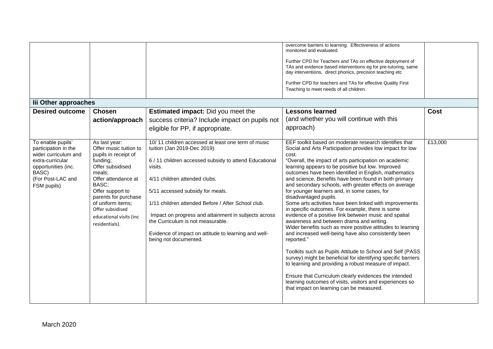| lii Other approaches<br><b>Desired outcome</b>                                                                                                            | <b>Chosen</b><br>action/approach                                                                                                                                                                                                                                            | <b>Estimated impact:</b> Did you meet the<br>success criteria? Include impact on pupils not<br>eligible for PP, if appropriate.                                                                                                                                                                                                                                                                                                                                 | overcome barriers to learning. Effectiveness of actions<br>monitored and evaluated.<br>Further CPD for Teachers and TAs on effective deployment of<br>TAs and evidence based interventions eg for pre-tutoring, same<br>day interventions, direct phonics, precision teaching etc<br>Further CPD for teachers and TAs for effective Quality First<br>Teaching to meet needs of all children.<br><b>Lessons learned</b><br>(and whether you will continue with this<br>approach)                                                                                                                                                                                                                                                                                                                                                                                                                                                                                                                                                                                                                                                                                                                                  | Cost    |
|-----------------------------------------------------------------------------------------------------------------------------------------------------------|-----------------------------------------------------------------------------------------------------------------------------------------------------------------------------------------------------------------------------------------------------------------------------|-----------------------------------------------------------------------------------------------------------------------------------------------------------------------------------------------------------------------------------------------------------------------------------------------------------------------------------------------------------------------------------------------------------------------------------------------------------------|------------------------------------------------------------------------------------------------------------------------------------------------------------------------------------------------------------------------------------------------------------------------------------------------------------------------------------------------------------------------------------------------------------------------------------------------------------------------------------------------------------------------------------------------------------------------------------------------------------------------------------------------------------------------------------------------------------------------------------------------------------------------------------------------------------------------------------------------------------------------------------------------------------------------------------------------------------------------------------------------------------------------------------------------------------------------------------------------------------------------------------------------------------------------------------------------------------------|---------|
| To enable pupils'<br>participation in the<br>wider curriculum and<br>extra-curricular<br>opportunities (inc.<br>BASC)<br>(For Post-LAC and<br>FSM pupils) | As last year:<br>Offer music tuition to<br>pupils in receipt of<br>funding;<br>Offer subsidised<br>meals:<br>Offer attendance at<br>BASC:<br>Offer support to<br>parents for purchase<br>of uniform items;<br>Offer subsidised<br>educational visits (inc<br>residentials). | 10/11 children accessed at least one term of music<br>tuition (Jan 2019-Dec 2019)<br>6 / 11 children accessed subsidy to attend Educational<br>visits.<br>4/11 children attended clubs.<br>5/11 accessed subsidy for meals.<br>1/11 children attended Before / After School club.<br>Impact on progress and attainment in subjects across<br>the Curriculum is not measurable.<br>Evidence of impact on attitude to learning and well-<br>being not documented. | EEF toolkit based on moderate research identifies that<br>Social and Arts Participation provides low impact for low<br>cost.<br>"Overall, the impact of arts participation on academic<br>learning appears to be positive but low. Improved<br>outcomes have been identified in English, mathematics<br>and science. Benefits have been found in both primary<br>and secondary schools, with greater effects on average<br>for younger learners and, in some cases, for<br>disadvantaged pupils.<br>Some arts activities have been linked with improvements<br>in specific outcomes. For example, there is some<br>evidence of a positive link between music and spatial<br>awareness and between drama and writing.<br>Wider benefits such as more positive attitudes to learning<br>and increased well-being have also consistently been<br>reported."<br>Toolkits such as Pupils Attitude to School and Self (PASS<br>survey) might be beneficial for identifying specific barriers<br>to learning and providing a robust measure of impact.<br>Ensure that Curriculum clearly evidences the intended<br>learning outcomes of visits, visitors and experiences so<br>that impact on learning can be measured. | £13,000 |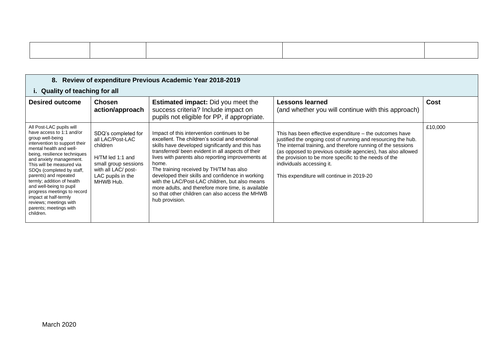| 8. Review of expenditure Previous Academic Year 2018-2019                                                                                                                                                                                                                                                                                                                                                                                                             |                                                                                                                                                          |                                                                                                                                                                                                                                                                                                                                                                                                                                                                                                                                                  |                                                                                                                                                                                                                                                                                                                                                                                            |         |  |  |  |
|-----------------------------------------------------------------------------------------------------------------------------------------------------------------------------------------------------------------------------------------------------------------------------------------------------------------------------------------------------------------------------------------------------------------------------------------------------------------------|----------------------------------------------------------------------------------------------------------------------------------------------------------|--------------------------------------------------------------------------------------------------------------------------------------------------------------------------------------------------------------------------------------------------------------------------------------------------------------------------------------------------------------------------------------------------------------------------------------------------------------------------------------------------------------------------------------------------|--------------------------------------------------------------------------------------------------------------------------------------------------------------------------------------------------------------------------------------------------------------------------------------------------------------------------------------------------------------------------------------------|---------|--|--|--|
| i. Quality of teaching for all                                                                                                                                                                                                                                                                                                                                                                                                                                        |                                                                                                                                                          |                                                                                                                                                                                                                                                                                                                                                                                                                                                                                                                                                  |                                                                                                                                                                                                                                                                                                                                                                                            |         |  |  |  |
| <b>Desired outcome</b>                                                                                                                                                                                                                                                                                                                                                                                                                                                | <b>Chosen</b><br>action/approach                                                                                                                         | <b>Estimated impact:</b> Did you meet the<br>success criteria? Include impact on<br>pupils not eligible for PP, if appropriate.                                                                                                                                                                                                                                                                                                                                                                                                                  | Lessons learned<br>(and whether you will continue with this approach)                                                                                                                                                                                                                                                                                                                      | Cost    |  |  |  |
| All Post-LAC pupils will<br>have access to 1:1 and/or<br>group well-being<br>intervention to support their<br>mental health and well-<br>being, resilience techniques<br>and anxiety management.<br>This will be measured via<br>SDQs (completed by staff,<br>parents) and repeated<br>termly; addition of health<br>and well-being to pupil<br>progress meetings to record<br>impact at half-termly<br>reviews; meetings with<br>parents; meetings with<br>children. | SDQ's completed for<br>all LAC/Post-LAC<br>children<br>H/TM led 1:1 and<br>small group sessions<br>with all LAC/ post-<br>LAC pupils in the<br>MHWB Hub. | Impact of this intervention continues to be.<br>excellent. The children's social and emotional<br>skills have developed significantly and this has<br>transferred/been evident in all aspects of their<br>lives with parents also reporting improvements at<br>home.<br>The training received by TH/TM has also<br>developed their skills and confidence in working<br>with the LAC/Post-LAC children, but also means<br>more adults, and therefore more time, is available<br>so that other children can also access the MHWB<br>hub provision. | This has been effective expenditure – the outcomes have<br>justified the ongoing cost of running and resourcing the hub.<br>The internal training, and therefore running of the sessions<br>(as opposed to previous outside agencies), has also allowed<br>the provision to be more specific to the needs of the<br>individuals accessing it.<br>This expenditure will continue in 2019-20 | £10,000 |  |  |  |